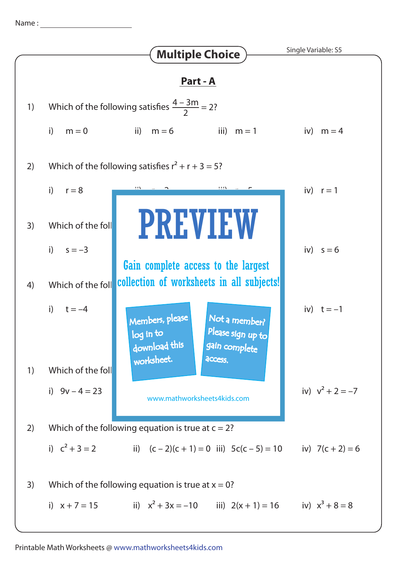